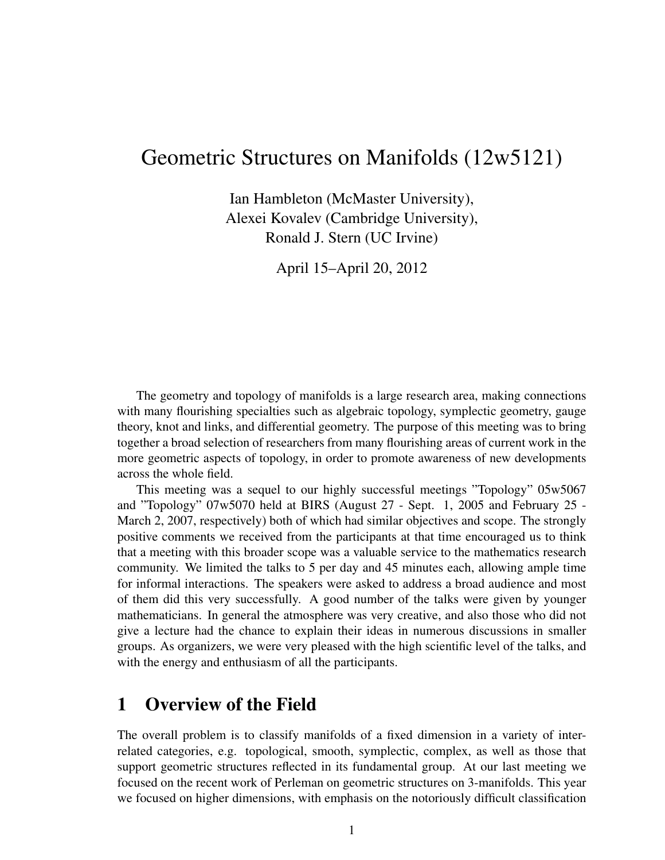# Geometric Structures on Manifolds (12w5121)

Ian Hambleton (McMaster University), Alexei Kovalev (Cambridge University), Ronald J. Stern (UC Irvine)

April 15–April 20, 2012

The geometry and topology of manifolds is a large research area, making connections with many flourishing specialties such as algebraic topology, symplectic geometry, gauge theory, knot and links, and differential geometry. The purpose of this meeting was to bring together a broad selection of researchers from many flourishing areas of current work in the more geometric aspects of topology, in order to promote awareness of new developments across the whole field.

This meeting was a sequel to our highly successful meetings "Topology" 05w5067 and "Topology" 07w5070 held at BIRS (August 27 - Sept. 1, 2005 and February 25 - March 2, 2007, respectively) both of which had similar objectives and scope. The strongly positive comments we received from the participants at that time encouraged us to think that a meeting with this broader scope was a valuable service to the mathematics research community. We limited the talks to 5 per day and 45 minutes each, allowing ample time for informal interactions. The speakers were asked to address a broad audience and most of them did this very successfully. A good number of the talks were given by younger mathematicians. In general the atmosphere was very creative, and also those who did not give a lecture had the chance to explain their ideas in numerous discussions in smaller groups. As organizers, we were very pleased with the high scientific level of the talks, and with the energy and enthusiasm of all the participants.

## 1 Overview of the Field

The overall problem is to classify manifolds of a fixed dimension in a variety of interrelated categories, e.g. topological, smooth, symplectic, complex, as well as those that support geometric structures reflected in its fundamental group. At our last meeting we focused on the recent work of Perleman on geometric structures on 3-manifolds. This year we focused on higher dimensions, with emphasis on the notoriously difficult classification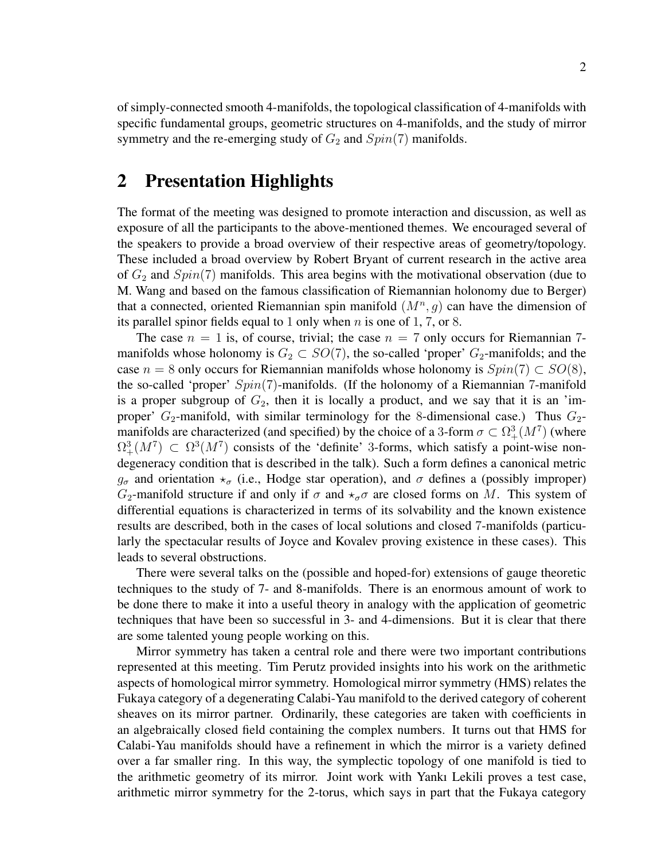of simply-connected smooth 4-manifolds, the topological classification of 4-manifolds with specific fundamental groups, geometric structures on 4-manifolds, and the study of mirror symmetry and the re-emerging study of  $G_2$  and  $Spin(7)$  manifolds.

## 2 Presentation Highlights

The format of the meeting was designed to promote interaction and discussion, as well as exposure of all the participants to the above-mentioned themes. We encouraged several of the speakers to provide a broad overview of their respective areas of geometry/topology. These included a broad overview by Robert Bryant of current research in the active area of  $G_2$  and  $Spin(7)$  manifolds. This area begins with the motivational observation (due to M. Wang and based on the famous classification of Riemannian holonomy due to Berger) that a connected, oriented Riemannian spin manifold  $(M^n, g)$  can have the dimension of its parallel spinor fields equal to 1 only when  $n$  is one of 1, 7, or 8.

The case  $n = 1$  is, of course, trivial; the case  $n = 7$  only occurs for Riemannian 7manifolds whose holonomy is  $G_2 \subset SO(7)$ , the so-called 'proper'  $G_2$ -manifolds; and the case  $n = 8$  only occurs for Riemannian manifolds whose holonomy is  $Spin(7) \subset SO(8)$ , the so-called 'proper'  $Spin(7)$ -manifolds. (If the holonomy of a Riemannian 7-manifold is a proper subgroup of  $G_2$ , then it is locally a product, and we say that it is an 'improper'  $G_2$ -manifold, with similar terminology for the 8-dimensional case.) Thus  $G_2$ manifolds are characterized (and specified) by the choice of a 3-form  $\sigma \subset \Omega^3_+(M^7)$  (where  $\Omega^3_+(M^7) \subset \Omega^3(M^7)$  consists of the 'definite' 3-forms, which satisfy a point-wise nondegeneracy condition that is described in the talk). Such a form defines a canonical metric  $g_{\sigma}$  and orientation  $\star_{\sigma}$  (i.e., Hodge star operation), and  $\sigma$  defines a (possibly improper)  $G_2$ -manifold structure if and only if  $\sigma$  and  $\star_{\sigma}\sigma$  are closed forms on M. This system of differential equations is characterized in terms of its solvability and the known existence results are described, both in the cases of local solutions and closed 7-manifolds (particularly the spectacular results of Joyce and Kovalev proving existence in these cases). This leads to several obstructions.

There were several talks on the (possible and hoped-for) extensions of gauge theoretic techniques to the study of 7- and 8-manifolds. There is an enormous amount of work to be done there to make it into a useful theory in analogy with the application of geometric techniques that have been so successful in 3- and 4-dimensions. But it is clear that there are some talented young people working on this.

Mirror symmetry has taken a central role and there were two important contributions represented at this meeting. Tim Perutz provided insights into his work on the arithmetic aspects of homological mirror symmetry. Homological mirror symmetry (HMS) relates the Fukaya category of a degenerating Calabi-Yau manifold to the derived category of coherent sheaves on its mirror partner. Ordinarily, these categories are taken with coefficients in an algebraically closed field containing the complex numbers. It turns out that HMS for Calabi-Yau manifolds should have a refinement in which the mirror is a variety defined over a far smaller ring. In this way, the symplectic topology of one manifold is tied to the arithmetic geometry of its mirror. Joint work with Yankı Lekili proves a test case, arithmetic mirror symmetry for the 2-torus, which says in part that the Fukaya category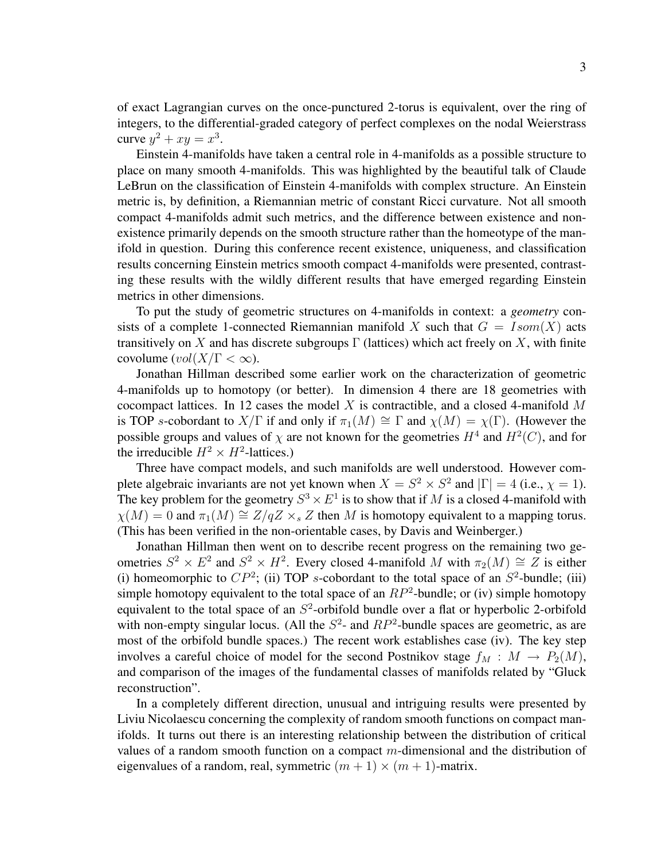of exact Lagrangian curves on the once-punctured 2-torus is equivalent, over the ring of integers, to the differential-graded category of perfect complexes on the nodal Weierstrass curve  $y^2 + xy = x^3$ .

Einstein 4-manifolds have taken a central role in 4-manifolds as a possible structure to place on many smooth 4-manifolds. This was highlighted by the beautiful talk of Claude LeBrun on the classification of Einstein 4-manifolds with complex structure. An Einstein metric is, by definition, a Riemannian metric of constant Ricci curvature. Not all smooth compact 4-manifolds admit such metrics, and the difference between existence and nonexistence primarily depends on the smooth structure rather than the homeotype of the manifold in question. During this conference recent existence, uniqueness, and classification results concerning Einstein metrics smooth compact 4-manifolds were presented, contrasting these results with the wildly different results that have emerged regarding Einstein metrics in other dimensions.

To put the study of geometric structures on 4-manifolds in context: a *geometry* consists of a complete 1-connected Riemannian manifold X such that  $G = Isom(X)$  acts transitively on X and has discrete subgroups  $\Gamma$  (lattices) which act freely on X, with finite covolume  $\text{vol}(X/\Gamma < \infty)$ .

Jonathan Hillman described some earlier work on the characterization of geometric 4-manifolds up to homotopy (or better). In dimension 4 there are 18 geometries with cocompact lattices. In 12 cases the model  $X$  is contractible, and a closed 4-manifold  $M$ is TOP s-cobordant to  $X/\Gamma$  if and only if  $\pi_1(M) \cong \Gamma$  and  $\chi(M) = \chi(\Gamma)$ . (However the possible groups and values of  $\chi$  are not known for the geometries  $H^4$  and  $H^2(C)$ , and for the irreducible  $H^2 \times H^2$ -lattices.)

Three have compact models, and such manifolds are well understood. However complete algebraic invariants are not yet known when  $X = S^2 \times S^2$  and  $|\Gamma| = 4$  (i.e.,  $\chi = 1$ ). The key problem for the geometry  $S^3 \times E^1$  is to show that if M is a closed 4-manifold with  $\chi(M) = 0$  and  $\pi_1(M) \cong Z/qZ \times_{s} Z$  then M is homotopy equivalent to a mapping torus. (This has been verified in the non-orientable cases, by Davis and Weinberger.)

Jonathan Hillman then went on to describe recent progress on the remaining two geometries  $S^2 \times E^2$  and  $S^2 \times H^2$ . Every closed 4-manifold M with  $\pi_2(M) \cong Z$  is either (i) homeomorphic to  $CP^2$ ; (ii) TOP s-cobordant to the total space of an  $S^2$ -bundle; (iii) simple homotopy equivalent to the total space of an  $RP^2$ -bundle; or (iv) simple homotopy equivalent to the total space of an  $S^2$ -orbifold bundle over a flat or hyperbolic 2-orbifold with non-empty singular locus. (All the  $S^2$ - and  $RP^2$ -bundle spaces are geometric, as are most of the orbifold bundle spaces.) The recent work establishes case (iv). The key step involves a careful choice of model for the second Postnikov stage  $f_M : M \to P_2(M)$ , and comparison of the images of the fundamental classes of manifolds related by "Gluck reconstruction".

In a completely different direction, unusual and intriguing results were presented by Liviu Nicolaescu concerning the complexity of random smooth functions on compact manifolds. It turns out there is an interesting relationship between the distribution of critical values of a random smooth function on a compact  $m$ -dimensional and the distribution of eigenvalues of a random, real, symmetric  $(m + 1) \times (m + 1)$ -matrix.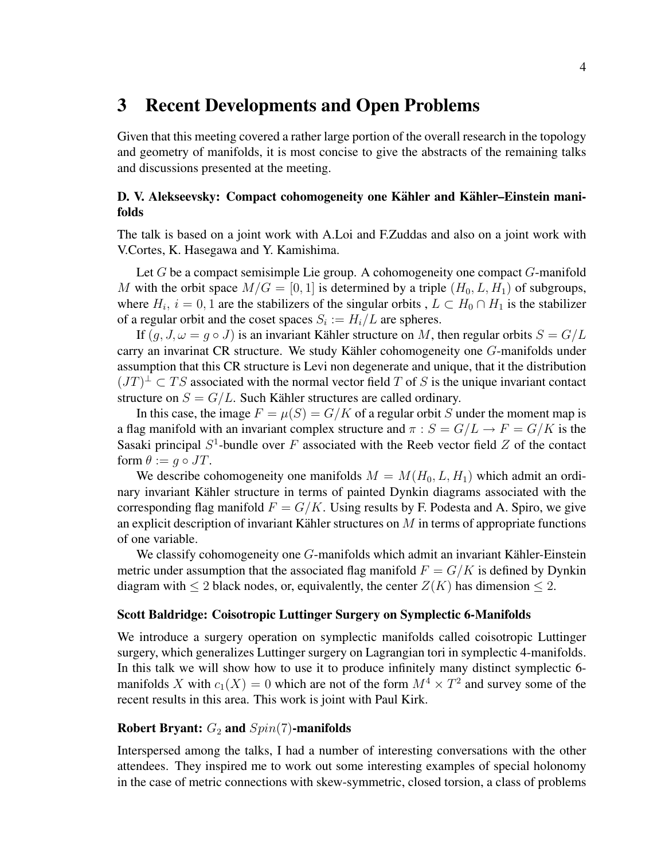## 3 Recent Developments and Open Problems

Given that this meeting covered a rather large portion of the overall research in the topology and geometry of manifolds, it is most concise to give the abstracts of the remaining talks and discussions presented at the meeting.

## D. V. Alekseevsky: Compact cohomogeneity one Kähler and Kähler–Einstein manifolds

The talk is based on a joint work with A.Loi and F.Zuddas and also on a joint work with V.Cortes, K. Hasegawa and Y. Kamishima.

Let G be a compact semisimple Lie group. A cohomogeneity one compact G-manifold M with the orbit space  $M/G = [0, 1]$  is determined by a triple  $(H_0, L, H_1)$  of subgroups, where  $H_i$ ,  $i = 0, 1$  are the stabilizers of the singular orbits,  $L \subset H_0 \cap H_1$  is the stabilizer of a regular orbit and the coset spaces  $S_i := H_i/L$  are spheres.

If  $(q, J, \omega = q \circ J)$  is an invariant Kähler structure on M, then regular orbits  $S = G/L$ carry an invarinat CR structure. We study Kähler cohomogeneity one  $G$ -manifolds under assumption that this CR structure is Levi non degenerate and unique, that it the distribution  $(TT)^{\perp} \subset TS$  associated with the normal vector field T of S is the unique invariant contact structure on  $S = G/L$ . Such Kähler structures are called ordinary.

In this case, the image  $F = \mu(S) = G/K$  of a regular orbit S under the moment map is a flag manifold with an invariant complex structure and  $\pi : S = G/L \rightarrow F = G/K$  is the Sasaki principal  $S^1$ -bundle over F associated with the Reeb vector field Z of the contact form  $\theta := q \circ JT$ .

We describe cohomogeneity one manifolds  $M = M(H_0, L, H_1)$  which admit an ordinary invariant Kähler structure in terms of painted Dynkin diagrams associated with the corresponding flag manifold  $F = G/K$ . Using results by F. Podesta and A. Spiro, we give an explicit description of invariant Kähler structures on  $M$  in terms of appropriate functions of one variable.

We classify cohomogeneity one  $G$ -manifolds which admit an invariant Kähler-Einstein metric under assumption that the associated flag manifold  $F = G/K$  is defined by Dynkin diagram with  $\leq 2$  black nodes, or, equivalently, the center  $Z(K)$  has dimension  $\leq 2$ .

#### Scott Baldridge: Coisotropic Luttinger Surgery on Symplectic 6-Manifolds

We introduce a surgery operation on symplectic manifolds called coisotropic Luttinger surgery, which generalizes Luttinger surgery on Lagrangian tori in symplectic 4-manifolds. In this talk we will show how to use it to produce infinitely many distinct symplectic 6 manifolds X with  $c_1(X) = 0$  which are not of the form  $M^4 \times T^2$  and survey some of the recent results in this area. This work is joint with Paul Kirk.

### Robert Bryant:  $G_2$  and  $Spin(7)$ -manifolds

Interspersed among the talks, I had a number of interesting conversations with the other attendees. They inspired me to work out some interesting examples of special holonomy in the case of metric connections with skew-symmetric, closed torsion, a class of problems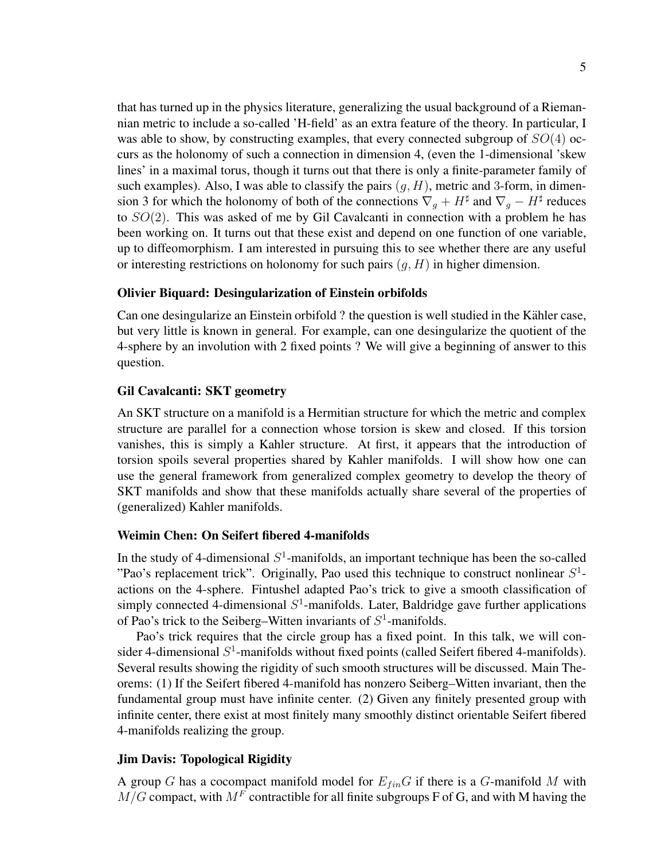that has turned up in the physics literature, generalizing the usual background of a Riemannian metric to include a so-called 'H-field' as an extra feature of the theory. In particular, I was able to show, by constructing examples, that every connected subgroup of  $SO(4)$  occurs as the holonomy of such a connection in dimension 4, (even the 1-dimensional 'skew lines' in a maximal torus, though it turns out that there is only a finite-parameter family of such examples). Also, I was able to classify the pairs  $(q, H)$ , metric and 3-form, in dimension 3 for which the holonomy of both of the connections  $\nabla_g + H^{\sharp}$  and  $\nabla_g - H^{\sharp}$  reduces to  $SO(2)$ . This was asked of me by Gil Cavalcanti in connection with a problem he has been working on. It turns out that these exist and depend on one function of one variable, up to diffeomorphism. I am interested in pursuing this to see whether there are any useful or interesting restrictions on holonomy for such pairs  $(g, H)$  in higher dimension.

#### Olivier Biquard: Desingularization of Einstein orbifolds

Can one desingularize an Einstein orbifold ? the question is well studied in the Kähler case, but very little is known in general. For example, can one desingularize the quotient of the 4-sphere by an involution with 2 fixed points ? We will give a beginning of answer to this question.

#### Gil Cavalcanti: SKT geometry

An SKT structure on a manifold is a Hermitian structure for which the metric and complex structure are parallel for a connection whose torsion is skew and closed. If this torsion vanishes, this is simply a Kahler structure. At first, it appears that the introduction of torsion spoils several properties shared by Kahler manifolds. I will show how one can use the general framework from generalized complex geometry to develop the theory of SKT manifolds and show that these manifolds actually share several of the properties of (generalized) Kahler manifolds.

#### Weimin Chen: On Seifert fibered 4-manifolds

In the study of 4-dimensional  $S<sup>1</sup>$ -manifolds, an important technique has been the so-called "Pao's replacement trick". Originally, Pao used this technique to construct nonlinear  $S^1$ actions on the 4-sphere. Fintushel adapted Pao's trick to give a smooth classification of simply connected 4-dimensional  $S<sup>1</sup>$ -manifolds. Later, Baldridge gave further applications of Pao's trick to the Seiberg–Witten invariants of  $S^1$ -manifolds.

Pao's trick requires that the circle group has a fixed point. In this talk, we will consider 4-dimensional  $S^1$ -manifolds without fixed points (called Seifert fibered 4-manifolds). Several results showing the rigidity of such smooth structures will be discussed. Main Theorems: (1) If the Seifert fibered 4-manifold has nonzero Seiberg–Witten invariant, then the fundamental group must have infinite center. (2) Given any finitely presented group with infinite center, there exist at most finitely many smoothly distinct orientable Seifert fibered 4-manifolds realizing the group.

#### Jim Davis: Topological Rigidity

A group G has a cocompact manifold model for  $E_{fin}G$  if there is a G-manifold M with  $M/G$  compact, with  $M^F$  contractible for all finite subgroups F of G, and with M having the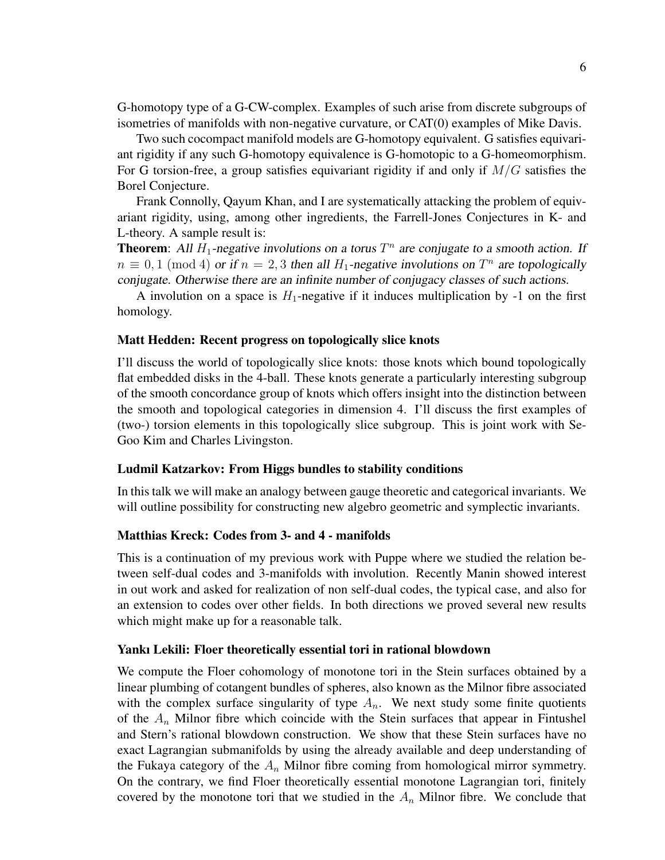G-homotopy type of a G-CW-complex. Examples of such arise from discrete subgroups of isometries of manifolds with non-negative curvature, or CAT(0) examples of Mike Davis.

Two such cocompact manifold models are G-homotopy equivalent. G satisfies equivariant rigidity if any such G-homotopy equivalence is G-homotopic to a G-homeomorphism. For G torsion-free, a group satisfies equivariant rigidity if and only if  $M/G$  satisfies the Borel Conjecture.

Frank Connolly, Qayum Khan, and I are systematically attacking the problem of equivariant rigidity, using, among other ingredients, the Farrell-Jones Conjectures in K- and L-theory. A sample result is:

**Theorem:** All  $H_1$ -negative involutions on a torus  $T^n$  are conjugate to a smooth action. If  $n \equiv 0, 1 \pmod{4}$  or if  $n = 2, 3$  then all  $H_1$ -negative involutions on  $T^n$  are topologically conjugate. Otherwise there are an infinite number of conjugacy classes of such actions.

A involution on a space is  $H_1$ -negative if it induces multiplication by -1 on the first homology.

#### Matt Hedden: Recent progress on topologically slice knots

I'll discuss the world of topologically slice knots: those knots which bound topologically flat embedded disks in the 4-ball. These knots generate a particularly interesting subgroup of the smooth concordance group of knots which offers insight into the distinction between the smooth and topological categories in dimension 4. I'll discuss the first examples of (two-) torsion elements in this topologically slice subgroup. This is joint work with Se-Goo Kim and Charles Livingston.

#### Ludmil Katzarkov: From Higgs bundles to stability conditions

In this talk we will make an analogy between gauge theoretic and categorical invariants. We will outline possibility for constructing new algebro geometric and symplectic invariants.

#### Matthias Kreck: Codes from 3- and 4 - manifolds

This is a continuation of my previous work with Puppe where we studied the relation between self-dual codes and 3-manifolds with involution. Recently Manin showed interest in out work and asked for realization of non self-dual codes, the typical case, and also for an extension to codes over other fields. In both directions we proved several new results which might make up for a reasonable talk.

#### Yankı Lekili: Floer theoretically essential tori in rational blowdown

We compute the Floer cohomology of monotone tori in the Stein surfaces obtained by a linear plumbing of cotangent bundles of spheres, also known as the Milnor fibre associated with the complex surface singularity of type  $A_n$ . We next study some finite quotients of the  $A_n$  Milnor fibre which coincide with the Stein surfaces that appear in Fintushel and Stern's rational blowdown construction. We show that these Stein surfaces have no exact Lagrangian submanifolds by using the already available and deep understanding of the Fukaya category of the  $A_n$  Milnor fibre coming from homological mirror symmetry. On the contrary, we find Floer theoretically essential monotone Lagrangian tori, finitely covered by the monotone tori that we studied in the  $A_n$  Milnor fibre. We conclude that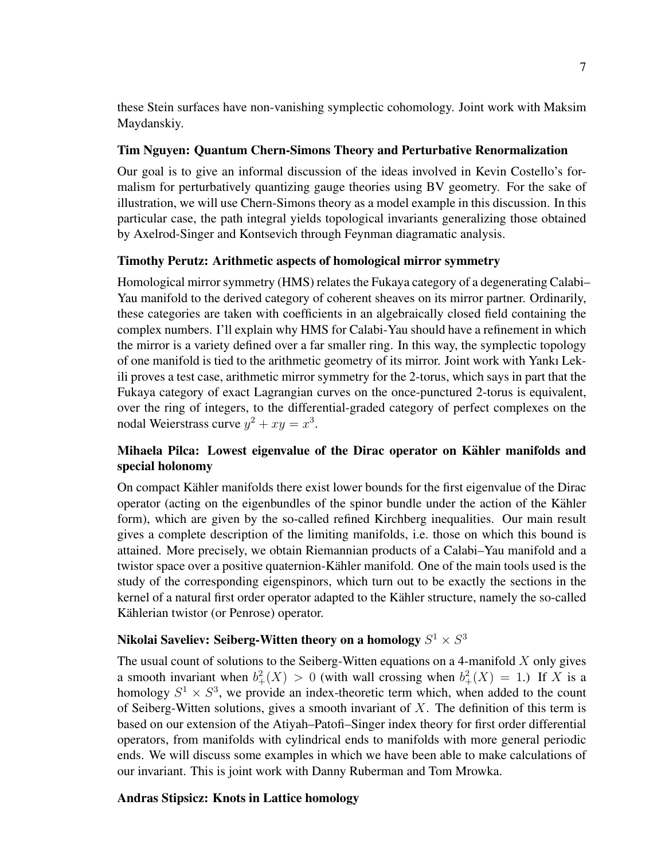these Stein surfaces have non-vanishing symplectic cohomology. Joint work with Maksim Maydanskiy.

### Tim Nguyen: Quantum Chern-Simons Theory and Perturbative Renormalization

Our goal is to give an informal discussion of the ideas involved in Kevin Costello's formalism for perturbatively quantizing gauge theories using BV geometry. For the sake of illustration, we will use Chern-Simons theory as a model example in this discussion. In this particular case, the path integral yields topological invariants generalizing those obtained by Axelrod-Singer and Kontsevich through Feynman diagramatic analysis.

### Timothy Perutz: Arithmetic aspects of homological mirror symmetry

Homological mirror symmetry (HMS) relates the Fukaya category of a degenerating Calabi– Yau manifold to the derived category of coherent sheaves on its mirror partner. Ordinarily, these categories are taken with coefficients in an algebraically closed field containing the complex numbers. I'll explain why HMS for Calabi-Yau should have a refinement in which the mirror is a variety defined over a far smaller ring. In this way, the symplectic topology of one manifold is tied to the arithmetic geometry of its mirror. Joint work with Yankı Lekili proves a test case, arithmetic mirror symmetry for the 2-torus, which says in part that the Fukaya category of exact Lagrangian curves on the once-punctured 2-torus is equivalent, over the ring of integers, to the differential-graded category of perfect complexes on the nodal Weierstrass curve  $y^2 + xy = x^3$ .

## Mihaela Pilca: Lowest eigenvalue of the Dirac operator on Kähler manifolds and special holonomy

On compact Kahler manifolds there exist lower bounds for the first eigenvalue of the Dirac ¨ operator (acting on the eigenbundles of the spinor bundle under the action of the Kahler ¨ form), which are given by the so-called refined Kirchberg inequalities. Our main result gives a complete description of the limiting manifolds, i.e. those on which this bound is attained. More precisely, we obtain Riemannian products of a Calabi–Yau manifold and a twistor space over a positive quaternion-Kähler manifold. One of the main tools used is the study of the corresponding eigenspinors, which turn out to be exactly the sections in the kernel of a natural first order operator adapted to the Kähler structure, namely the so-called Kählerian twistor (or Penrose) operator.

## Nikolai Saveliev: Seiberg-Witten theory on a homology  $S^1 \times S^3$

The usual count of solutions to the Seiberg-Witten equations on a 4-manifold  $X$  only gives a smooth invariant when  $b^2_+(X) > 0$  (with wall crossing when  $b^2_+(X) = 1$ .) If X is a homology  $S^1 \times S^3$ , we provide an index-theoretic term which, when added to the count of Seiberg-Witten solutions, gives a smooth invariant of  $X$ . The definition of this term is based on our extension of the Atiyah–Patofi–Singer index theory for first order differential operators, from manifolds with cylindrical ends to manifolds with more general periodic ends. We will discuss some examples in which we have been able to make calculations of our invariant. This is joint work with Danny Ruberman and Tom Mrowka.

### Andras Stipsicz: Knots in Lattice homology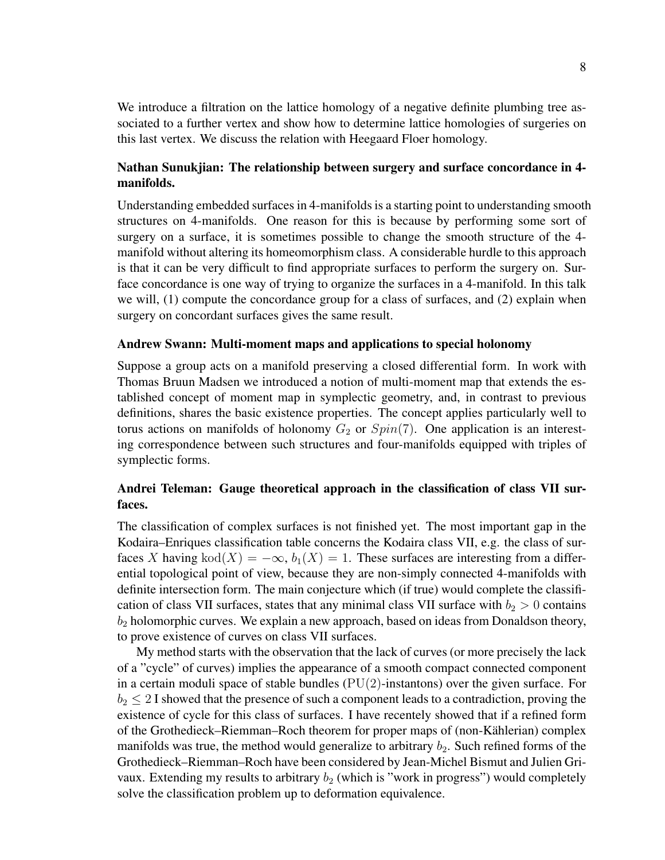We introduce a filtration on the lattice homology of a negative definite plumbing tree associated to a further vertex and show how to determine lattice homologies of surgeries on this last vertex. We discuss the relation with Heegaard Floer homology.

## Nathan Sunukjian: The relationship between surgery and surface concordance in 4 manifolds.

Understanding embedded surfaces in 4-manifolds is a starting point to understanding smooth structures on 4-manifolds. One reason for this is because by performing some sort of surgery on a surface, it is sometimes possible to change the smooth structure of the 4 manifold without altering its homeomorphism class. A considerable hurdle to this approach is that it can be very difficult to find appropriate surfaces to perform the surgery on. Surface concordance is one way of trying to organize the surfaces in a 4-manifold. In this talk we will, (1) compute the concordance group for a class of surfaces, and (2) explain when surgery on concordant surfaces gives the same result.

#### Andrew Swann: Multi-moment maps and applications to special holonomy

Suppose a group acts on a manifold preserving a closed differential form. In work with Thomas Bruun Madsen we introduced a notion of multi-moment map that extends the established concept of moment map in symplectic geometry, and, in contrast to previous definitions, shares the basic existence properties. The concept applies particularly well to torus actions on manifolds of holonomy  $G_2$  or  $Spin(7)$ . One application is an interesting correspondence between such structures and four-manifolds equipped with triples of symplectic forms.

## Andrei Teleman: Gauge theoretical approach in the classification of class VII surfaces.

The classification of complex surfaces is not finished yet. The most important gap in the Kodaira–Enriques classification table concerns the Kodaira class VII, e.g. the class of surfaces X having kod(X) =  $-\infty$ ,  $b_1(X) = 1$ . These surfaces are interesting from a differential topological point of view, because they are non-simply connected 4-manifolds with definite intersection form. The main conjecture which (if true) would complete the classification of class VII surfaces, states that any minimal class VII surface with  $b_2 > 0$  contains  $b_2$  holomorphic curves. We explain a new approach, based on ideas from Donaldson theory, to prove existence of curves on class VII surfaces.

My method starts with the observation that the lack of curves (or more precisely the lack of a "cycle" of curves) implies the appearance of a smooth compact connected component in a certain moduli space of stable bundles  $(PU(2)$ -instantons) over the given surface. For  $b_2 \leq 2$  I showed that the presence of such a component leads to a contradiction, proving the existence of cycle for this class of surfaces. I have recentely showed that if a refined form of the Grothedieck–Riemman–Roch theorem for proper maps of (non-Kahlerian) complex ¨ manifolds was true, the method would generalize to arbitrary  $b_2$ . Such refined forms of the Grothedieck–Riemman–Roch have been considered by Jean-Michel Bismut and Julien Grivaux. Extending my results to arbitrary  $b_2$  (which is "work in progress") would completely solve the classification problem up to deformation equivalence.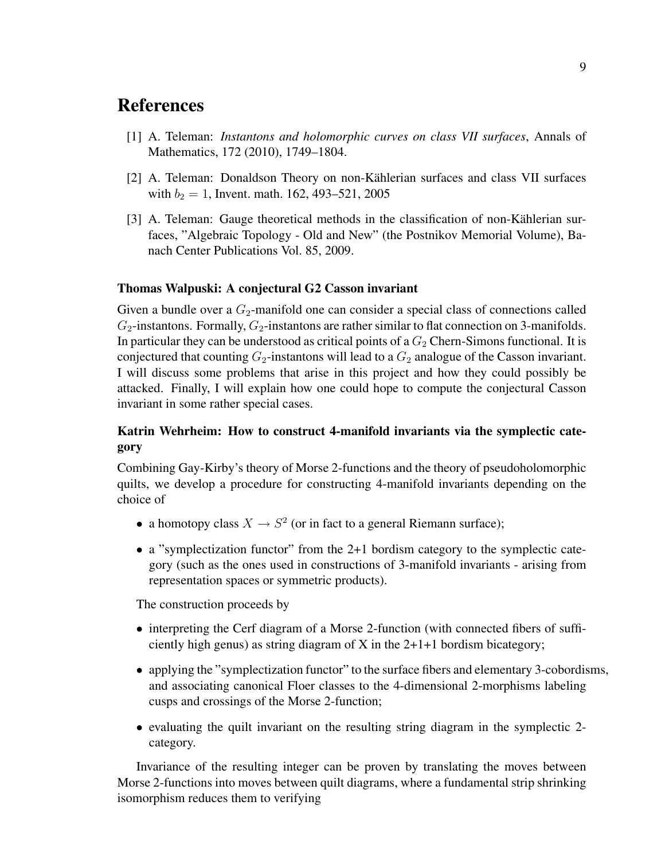## **References**

- [1] A. Teleman: *Instantons and holomorphic curves on class VII surfaces*, Annals of Mathematics, 172 (2010), 1749–1804.
- [2] A. Teleman: Donaldson Theory on non-Kählerian surfaces and class VII surfaces with  $b_2 = 1$ , Invent. math. 162, 493–521, 2005
- [3] A. Teleman: Gauge theoretical methods in the classification of non-Kählerian surfaces, "Algebraic Topology - Old and New" (the Postnikov Memorial Volume), Banach Center Publications Vol. 85, 2009.

### Thomas Walpuski: A conjectural G2 Casson invariant

Given a bundle over a  $G_2$ -manifold one can consider a special class of connections called  $G_2$ -instantons. Formally,  $G_2$ -instantons are rather similar to flat connection on 3-manifolds. In particular they can be understood as critical points of a  $G_2$  Chern-Simons functional. It is conjectured that counting  $G_2$ -instantons will lead to a  $G_2$  analogue of the Casson invariant. I will discuss some problems that arise in this project and how they could possibly be attacked. Finally, I will explain how one could hope to compute the conjectural Casson invariant in some rather special cases.

## Katrin Wehrheim: How to construct 4-manifold invariants via the symplectic category

Combining Gay-Kirby's theory of Morse 2-functions and the theory of pseudoholomorphic quilts, we develop a procedure for constructing 4-manifold invariants depending on the choice of

- a homotopy class  $X \to S^2$  (or in fact to a general Riemann surface);
- a "symplectization functor" from the 2+1 bordism category to the symplectic category (such as the ones used in constructions of 3-manifold invariants - arising from representation spaces or symmetric products).

The construction proceeds by

- interpreting the Cerf diagram of a Morse 2-function (with connected fibers of sufficiently high genus) as string diagram of X in the 2+1+1 bordism bicategory;
- applying the "symplectization functor" to the surface fibers and elementary 3-cobordisms, and associating canonical Floer classes to the 4-dimensional 2-morphisms labeling cusps and crossings of the Morse 2-function;
- evaluating the quilt invariant on the resulting string diagram in the symplectic 2category.

Invariance of the resulting integer can be proven by translating the moves between Morse 2-functions into moves between quilt diagrams, where a fundamental strip shrinking isomorphism reduces them to verifying